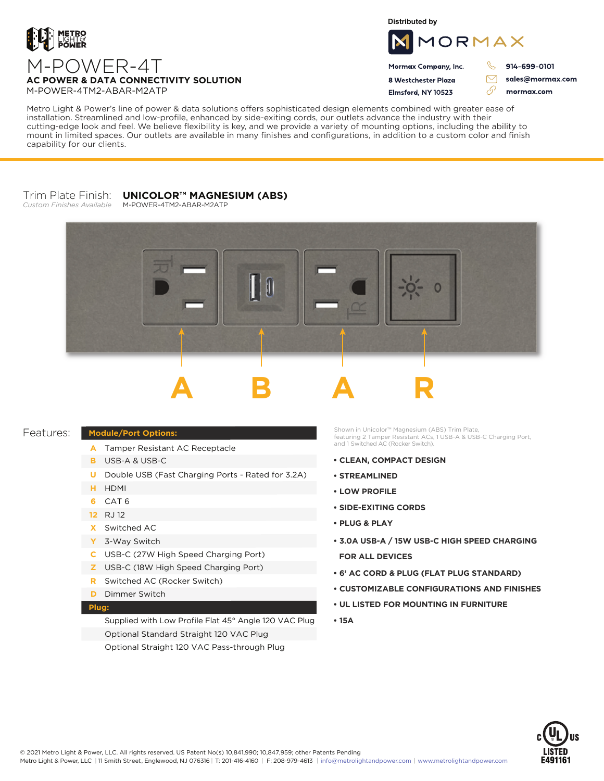

**Distributed by**



Mormax Company, Inc. 8 Westchester Plaza

Flmsford, NY 10523

914-699-0101

sales@mormax.com mormax.com

 $\triangledown$ 

76

# M-POWER-4T **AC POWER & DATA CONNECTIVITY SOLUTION** M-POWER-4TM2-ABAR-M2ATP

Metro Light & Power's line of power & data solutions offers sophisticated design elements combined with greater ease of installation. Streamlined and low-profile, enhanced by side-exiting cords, our outlets advance the industry with their cutting-edge look and feel. We believe flexibility is key, and we provide a variety of mounting options, including the ability to mount in limited spaces. Our outlets are available in many finishes and configurations, in addition to a custom color and finish capability for our clients.

#### Trim Plate Finish: *Custom Finishes Available* **UNICOLOR™ MAGNESIUM (ABS)**

M-POWER-4TM2-ABAR-M2ATP



## Features:

## **Module/Port Options:**

- A Tamper Resistant AC Receptacle
- USB-A & USB-C **B**
- U Double USB (Fast Charging Ports Rated for 3.2A)
- HDMI **H**
- CAT 6 **6**
- 12 RJ 12
- Switched AC **X**
- 3-Way Switch **Y**
- USB-C (27W High Speed Charging Port) **C**
- USB-C (18W High Speed Charging Port) **Z**
- Switched AC (Rocker Switch) **R**
- **D** Dimmer Switch

### **Plug:**

Supplied with Low Profile Flat 45° Angle 120 VAC Plug Optional Standard Straight 120 VAC Plug Optional Straight 120 VAC Pass-through Plug

Shown in Unicolor™ Magnesium (ABS) Trim Plate, featuring 2 Tamper Resistant ACs, 1 USB-A & USB-C Charging Port, and 1 Switched AC (Rocker Switch).

- **CLEAN, COMPACT DESIGN**
- **• STREAMLINED**
- **LOW PROFILE**
- **• SIDE-EXITING CORDS**
- **• PLUG & PLAY**
- **3.0A USB-A / 15W USB-C HIGH SPEED CHARGING FOR ALL DEVICES**
- **• 6' AC CORD & PLUG (FLAT PLUG STANDARD)**
- **• CUSTOMIZABLE CONFIGURATIONS AND FINISHES**
- **• UL LISTED FOR MOUNTING IN FURNITURE**
- **• 15A**